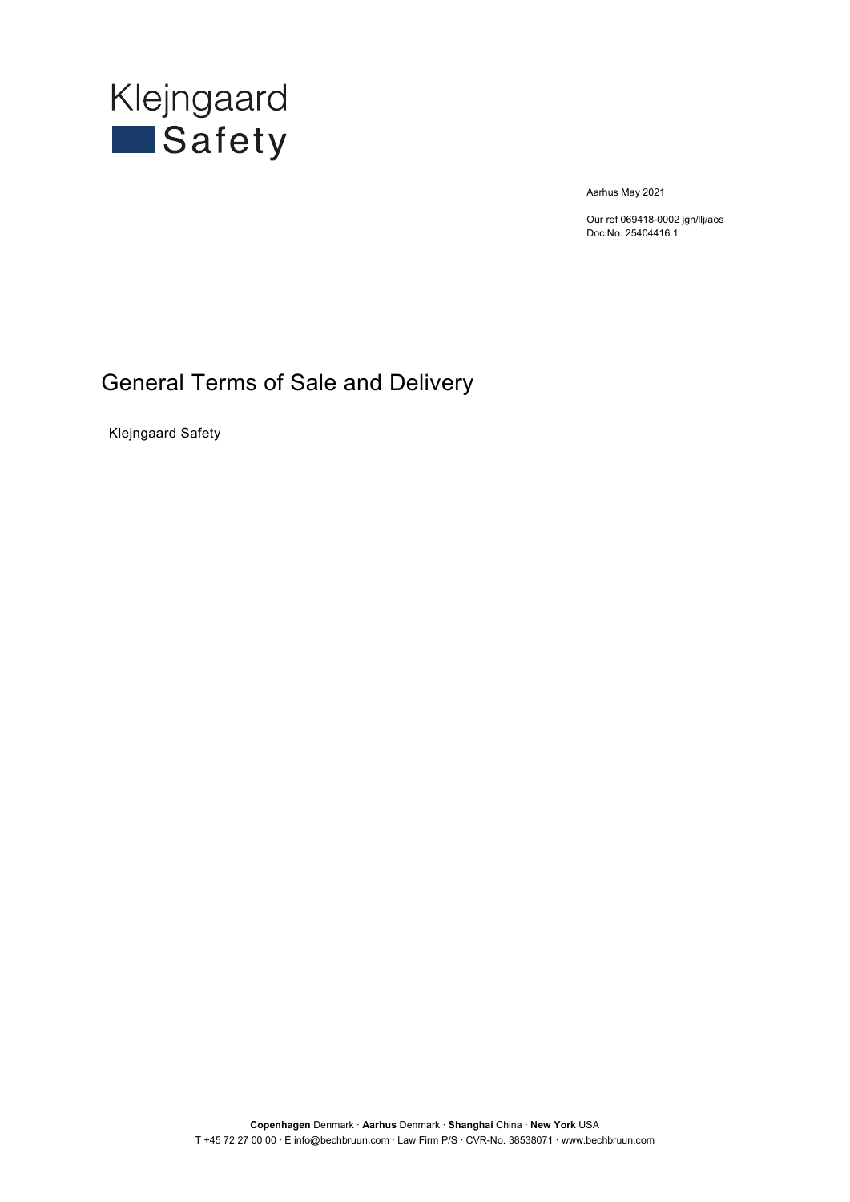

Aarhus May 2021

Our ref 069418-0002 jgn/llj/aos Doc.No. 25404416.1

### General Terms of Sale and Delivery

Klejngaard Safety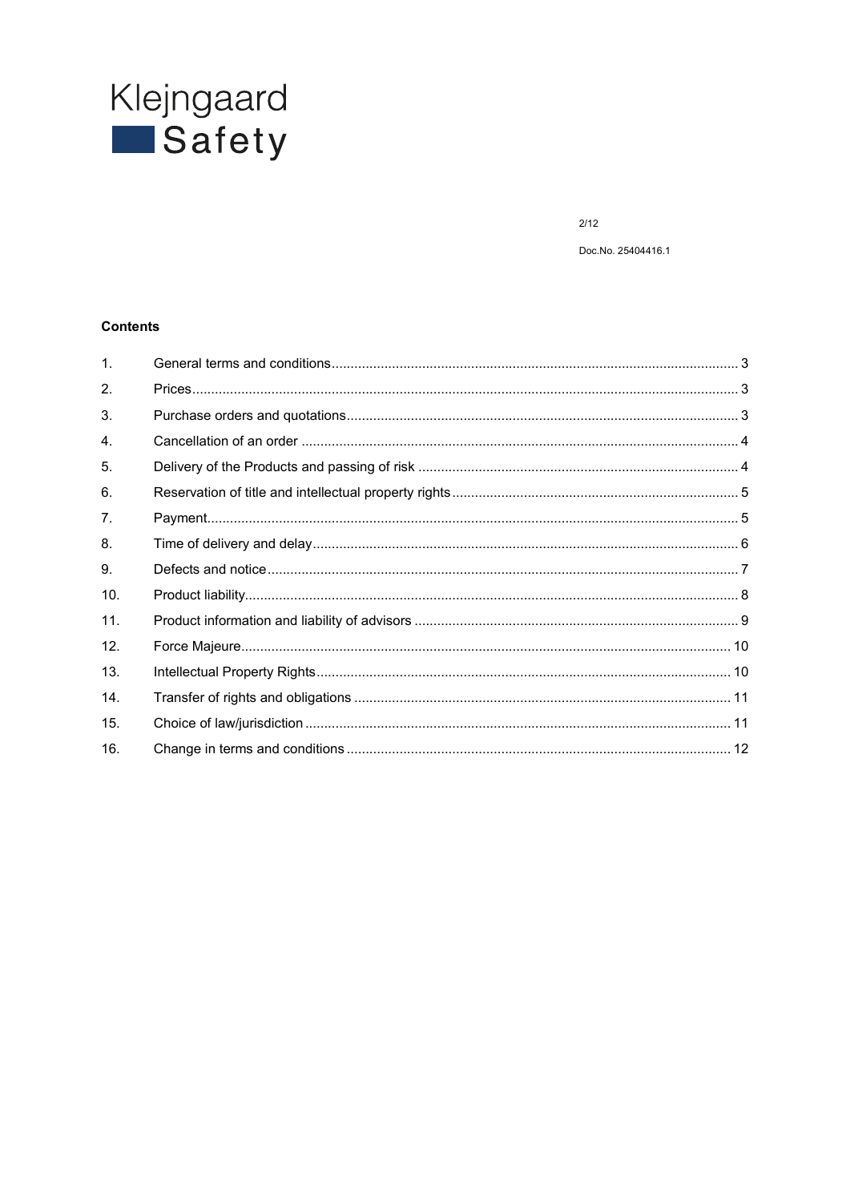# Klejngaard<br>Safety

 $2/12$ 

Doc.No. 25404416.1

#### **Contents**

| $\mathbf{1}$ . |  |
|----------------|--|
| 2.             |  |
| 3.             |  |
| 4.             |  |
| 5.             |  |
| 6.             |  |
| 7.             |  |
| 8.             |  |
| 9.             |  |
| 10.            |  |
| 11.            |  |
| 12.            |  |
| 13.            |  |
| 14.            |  |
| 15.            |  |
| 16.            |  |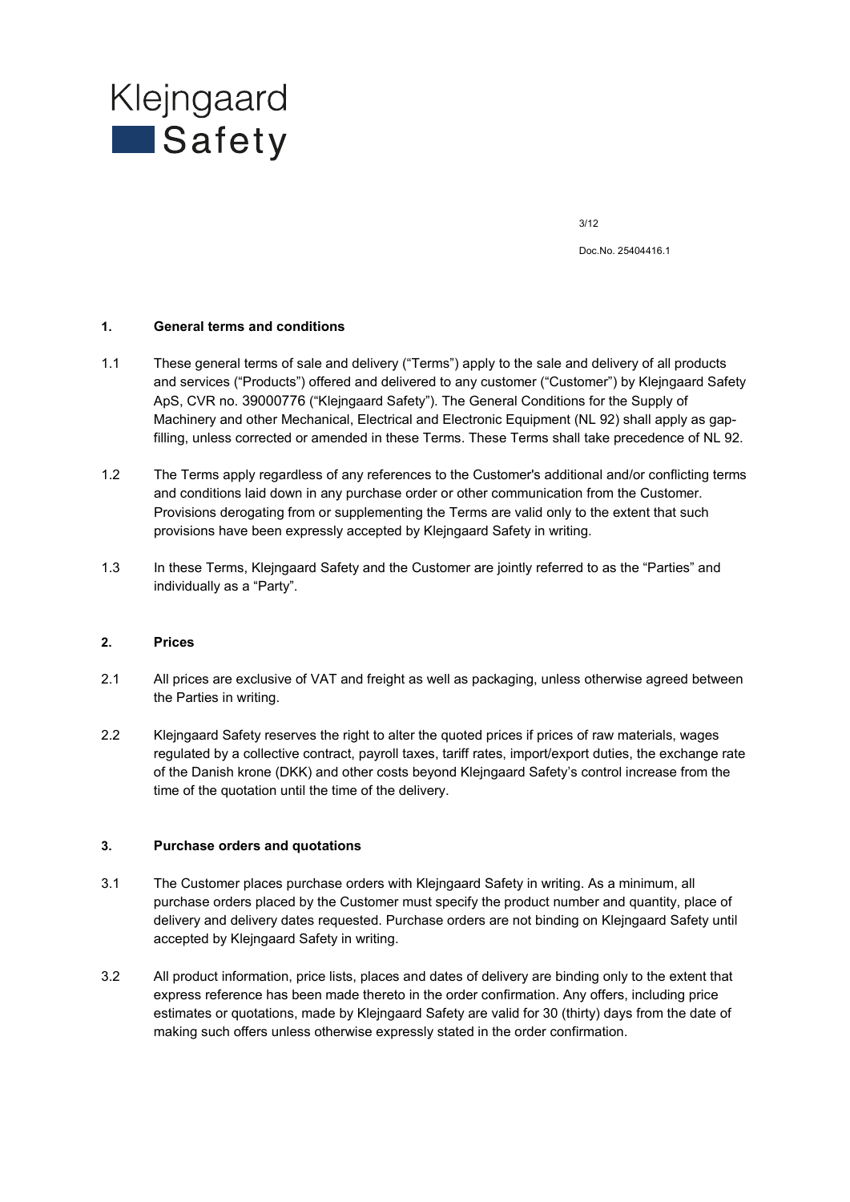

Doc.No. 25404416.1

#### **1. General terms and conditions**

- 1.1 These general terms of sale and delivery ("Terms") apply to the sale and delivery of all products and services ("Products") offered and delivered to any customer ("Customer") by Klejngaard Safety ApS, CVR no. 39000776 ("Klejngaard Safety"). The General Conditions for the Supply of Machinery and other Mechanical, Electrical and Electronic Equipment (NL 92) shall apply as gapfilling, unless corrected or amended in these Terms. These Terms shall take precedence of NL 92.
- 1.2 The Terms apply regardless of any references to the Customer's additional and/or conflicting terms and conditions laid down in any purchase order or other communication from the Customer. Provisions derogating from or supplementing the Terms are valid only to the extent that such provisions have been expressly accepted by Klejngaard Safety in writing.
- 1.3 In these Terms, Klejngaard Safety and the Customer are jointly referred to as the "Parties" and individually as a "Party".

#### **2. Prices**

- 2.1 All prices are exclusive of VAT and freight as well as packaging, unless otherwise agreed between the Parties in writing.
- 2.2 Klejngaard Safety reserves the right to alter the quoted prices if prices of raw materials, wages regulated by a collective contract, payroll taxes, tariff rates, import/export duties, the exchange rate of the Danish krone (DKK) and other costs beyond Klejngaard Safety's control increase from the time of the quotation until the time of the delivery.

#### **3. Purchase orders and quotations**

- 3.1 The Customer places purchase orders with Klejngaard Safety in writing. As a minimum, all purchase orders placed by the Customer must specify the product number and quantity, place of delivery and delivery dates requested. Purchase orders are not binding on Klejngaard Safety until accepted by Klejngaard Safety in writing.
- 3.2 All product information, price lists, places and dates of delivery are binding only to the extent that express reference has been made thereto in the order confirmation. Any offers, including price estimates or quotations, made by Klejngaard Safety are valid for 30 (thirty) days from the date of making such offers unless otherwise expressly stated in the order confirmation.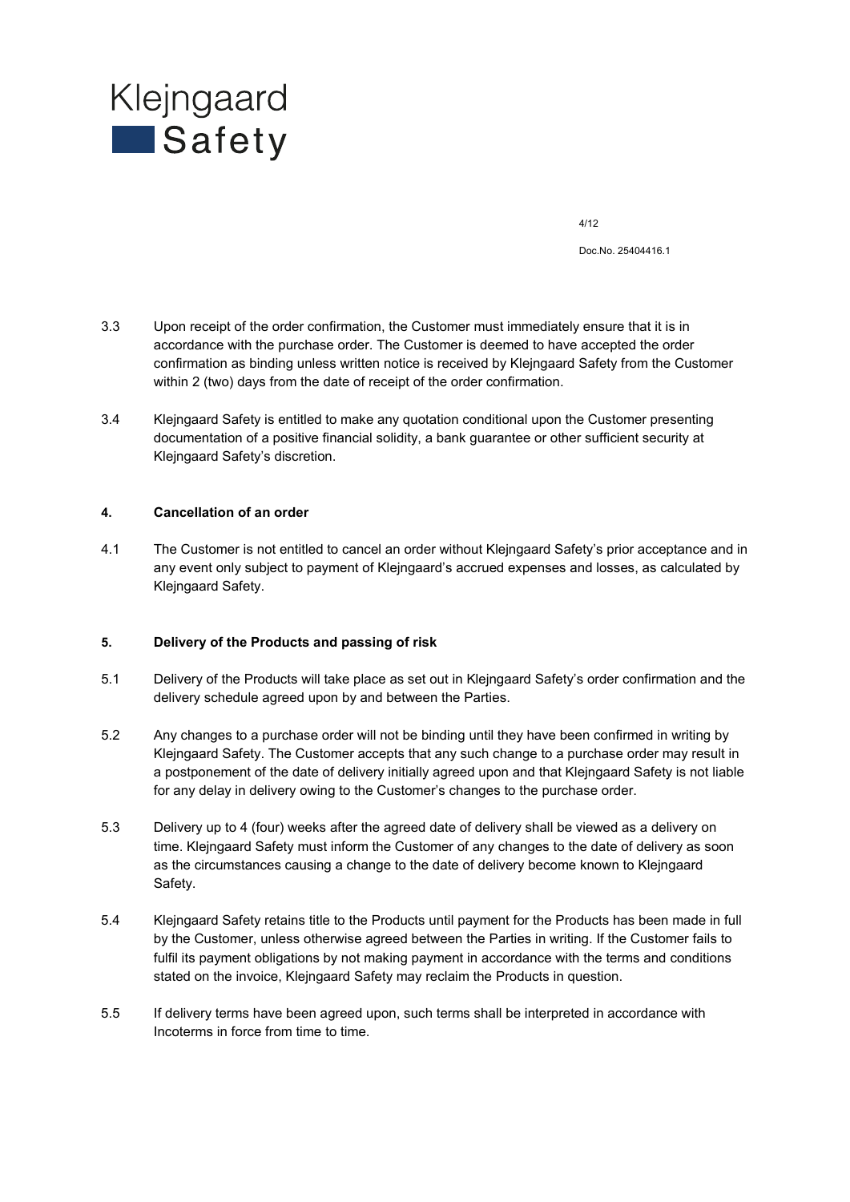

Doc.No. 25404416.1

- 3.3 Upon receipt of the order confirmation, the Customer must immediately ensure that it is in accordance with the purchase order. The Customer is deemed to have accepted the order confirmation as binding unless written notice is received by Klejngaard Safety from the Customer within 2 (two) days from the date of receipt of the order confirmation.
- 3.4 Klejngaard Safety is entitled to make any quotation conditional upon the Customer presenting documentation of a positive financial solidity, a bank guarantee or other sufficient security at Klejngaard Safety's discretion.

#### **4. Cancellation of an order**

4.1 The Customer is not entitled to cancel an order without Klejngaard Safety's prior acceptance and in any event only subject to payment of Klejngaard's accrued expenses and losses, as calculated by Klejngaard Safety.

#### **5. Delivery of the Products and passing of risk**

- 5.1 Delivery of the Products will take place as set out in Klejngaard Safety's order confirmation and the delivery schedule agreed upon by and between the Parties.
- 5.2 Any changes to a purchase order will not be binding until they have been confirmed in writing by Klejngaard Safety. The Customer accepts that any such change to a purchase order may result in a postponement of the date of delivery initially agreed upon and that Klejngaard Safety is not liable for any delay in delivery owing to the Customer's changes to the purchase order.
- 5.3 Delivery up to 4 (four) weeks after the agreed date of delivery shall be viewed as a delivery on time. Klejngaard Safety must inform the Customer of any changes to the date of delivery as soon as the circumstances causing a change to the date of delivery become known to Klejngaard Safety.
- 5.4 Klejngaard Safety retains title to the Products until payment for the Products has been made in full by the Customer, unless otherwise agreed between the Parties in writing. If the Customer fails to fulfil its payment obligations by not making payment in accordance with the terms and conditions stated on the invoice, Klejngaard Safety may reclaim the Products in question.
- 5.5 If delivery terms have been agreed upon, such terms shall be interpreted in accordance with Incoterms in force from time to time.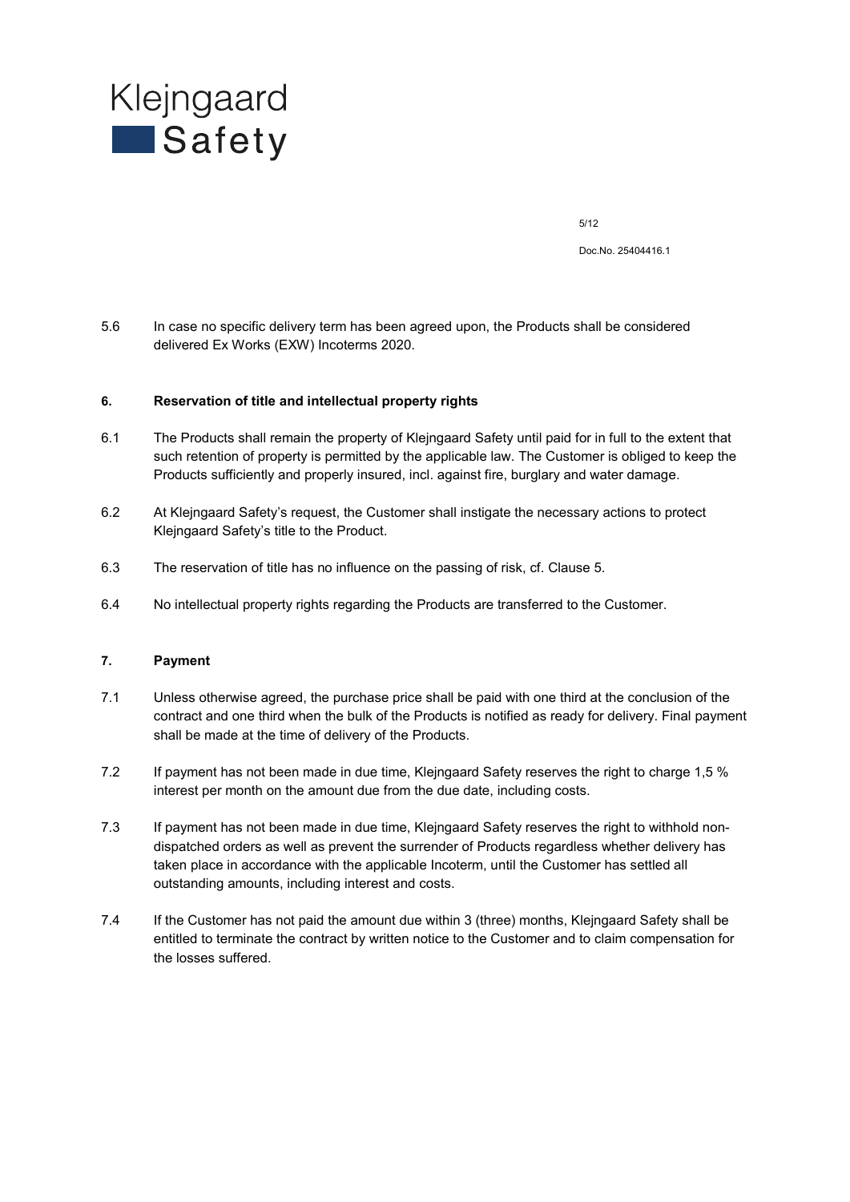

Doc.No. 25404416.1

5.6 In case no specific delivery term has been agreed upon, the Products shall be considered delivered Ex Works (EXW) Incoterms 2020.

#### **6. Reservation of title and intellectual property rights**

- 6.1 The Products shall remain the property of Klejngaard Safety until paid for in full to the extent that such retention of property is permitted by the applicable law. The Customer is obliged to keep the Products sufficiently and properly insured, incl. against fire, burglary and water damage.
- 6.2 At Klejngaard Safety's request, the Customer shall instigate the necessary actions to protect Klejngaard Safety's title to the Product.
- 6.3 The reservation of title has no influence on the passing of risk, cf. Clause 5.
- 6.4 No intellectual property rights regarding the Products are transferred to the Customer.

#### **7. Payment**

- 7.1 Unless otherwise agreed, the purchase price shall be paid with one third at the conclusion of the contract and one third when the bulk of the Products is notified as ready for delivery. Final payment shall be made at the time of delivery of the Products.
- 7.2 If payment has not been made in due time, Klejngaard Safety reserves the right to charge 1,5 % interest per month on the amount due from the due date, including costs.
- 7.3 If payment has not been made in due time, Klejngaard Safety reserves the right to withhold nondispatched orders as well as prevent the surrender of Products regardless whether delivery has taken place in accordance with the applicable Incoterm, until the Customer has settled all outstanding amounts, including interest and costs.
- 7.4 If the Customer has not paid the amount due within 3 (three) months, Klejngaard Safety shall be entitled to terminate the contract by written notice to the Customer and to claim compensation for the losses suffered.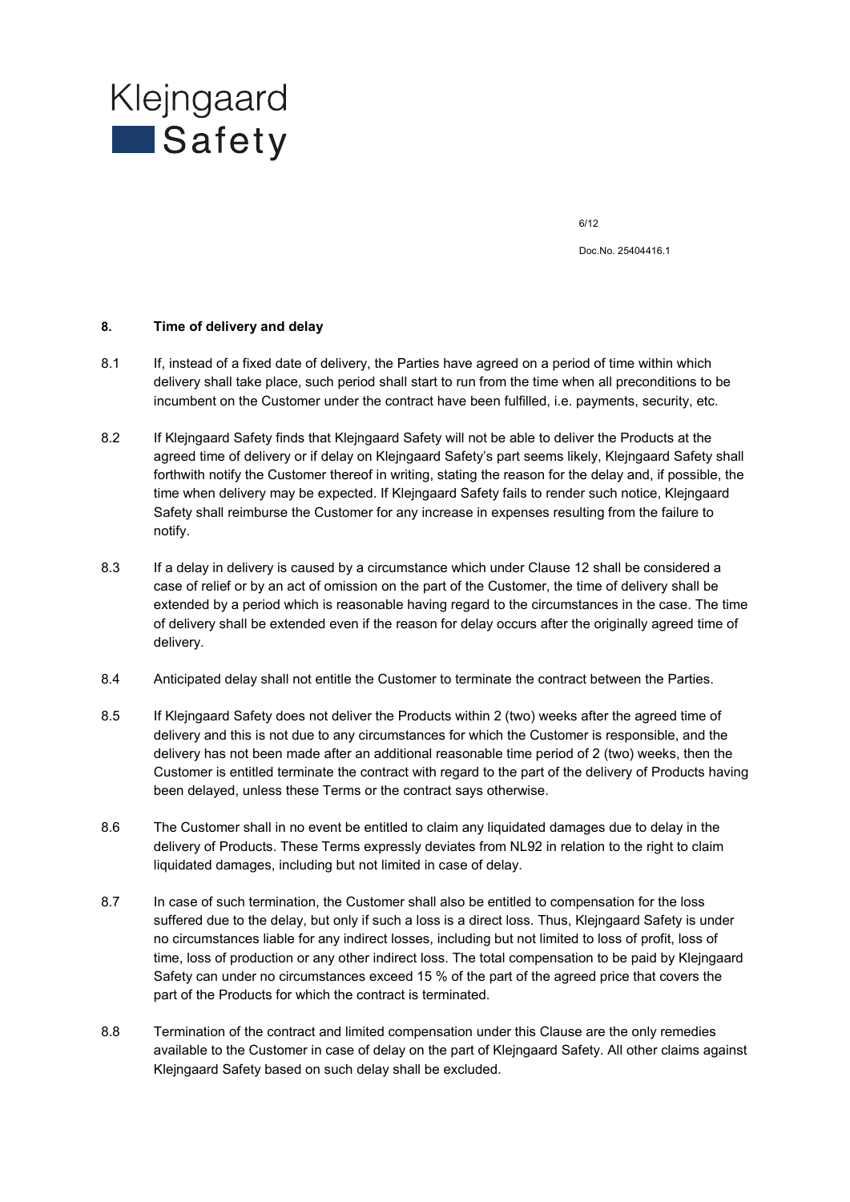

Doc.No. 25404416.1

#### **8. Time of delivery and delay**

- 8.1 If, instead of a fixed date of delivery, the Parties have agreed on a period of time within which delivery shall take place, such period shall start to run from the time when all preconditions to be incumbent on the Customer under the contract have been fulfilled, i.e. payments, security, etc.
- 8.2 If Klejngaard Safety finds that Klejngaard Safety will not be able to deliver the Products at the agreed time of delivery or if delay on Klejngaard Safety's part seems likely, Klejngaard Safety shall forthwith notify the Customer thereof in writing, stating the reason for the delay and, if possible, the time when delivery may be expected. If Klejngaard Safety fails to render such notice, Klejngaard Safety shall reimburse the Customer for any increase in expenses resulting from the failure to notify.
- 8.3 If a delay in delivery is caused by a circumstance which under Clause 12 shall be considered a case of relief or by an act of omission on the part of the Customer, the time of delivery shall be extended by a period which is reasonable having regard to the circumstances in the case. The time of delivery shall be extended even if the reason for delay occurs after the originally agreed time of delivery.
- 8.4 Anticipated delay shall not entitle the Customer to terminate the contract between the Parties.
- 8.5 If Klejngaard Safety does not deliver the Products within 2 (two) weeks after the agreed time of delivery and this is not due to any circumstances for which the Customer is responsible, and the delivery has not been made after an additional reasonable time period of 2 (two) weeks, then the Customer is entitled terminate the contract with regard to the part of the delivery of Products having been delayed, unless these Terms or the contract says otherwise.
- 8.6 The Customer shall in no event be entitled to claim any liquidated damages due to delay in the delivery of Products. These Terms expressly deviates from NL92 in relation to the right to claim liquidated damages, including but not limited in case of delay.
- 8.7 In case of such termination, the Customer shall also be entitled to compensation for the loss suffered due to the delay, but only if such a loss is a direct loss. Thus, Klejngaard Safety is under no circumstances liable for any indirect losses, including but not limited to loss of profit, loss of time, loss of production or any other indirect loss. The total compensation to be paid by Klejngaard Safety can under no circumstances exceed 15 % of the part of the agreed price that covers the part of the Products for which the contract is terminated.
- 8.8 Termination of the contract and limited compensation under this Clause are the only remedies available to the Customer in case of delay on the part of Klejngaard Safety. All other claims against Klejngaard Safety based on such delay shall be excluded.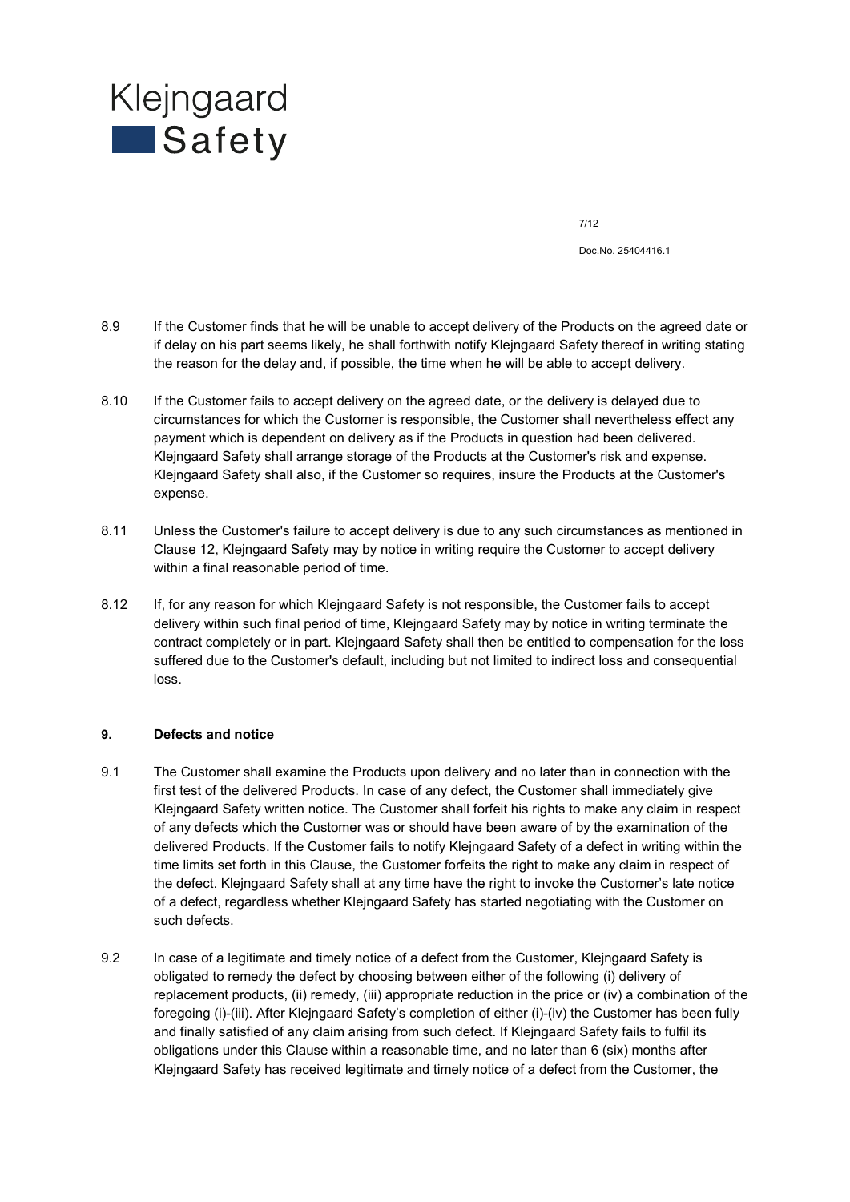

Doc.No. 25404416.1

- 8.9 If the Customer finds that he will be unable to accept delivery of the Products on the agreed date or if delay on his part seems likely, he shall forthwith notify Klejngaard Safety thereof in writing stating the reason for the delay and, if possible, the time when he will be able to accept delivery.
- 8.10 If the Customer fails to accept delivery on the agreed date, or the delivery is delayed due to circumstances for which the Customer is responsible, the Customer shall nevertheless effect any payment which is dependent on delivery as if the Products in question had been delivered. Klejngaard Safety shall arrange storage of the Products at the Customer's risk and expense. Klejngaard Safety shall also, if the Customer so requires, insure the Products at the Customer's expense.
- 8.11 Unless the Customer's failure to accept delivery is due to any such circumstances as mentioned in Clause 12, Klejngaard Safety may by notice in writing require the Customer to accept delivery within a final reasonable period of time.
- 8.12 If, for any reason for which Klejngaard Safety is not responsible, the Customer fails to accept delivery within such final period of time, Klejngaard Safety may by notice in writing terminate the contract completely or in part. Klejngaard Safety shall then be entitled to compensation for the loss suffered due to the Customer's default, including but not limited to indirect loss and consequential loss.

#### **9. Defects and notice**

- 9.1 The Customer shall examine the Products upon delivery and no later than in connection with the first test of the delivered Products. In case of any defect, the Customer shall immediately give Klejngaard Safety written notice. The Customer shall forfeit his rights to make any claim in respect of any defects which the Customer was or should have been aware of by the examination of the delivered Products. If the Customer fails to notify Klejngaard Safety of a defect in writing within the time limits set forth in this Clause, the Customer forfeits the right to make any claim in respect of the defect. Klejngaard Safety shall at any time have the right to invoke the Customer's late notice of a defect, regardless whether Klejngaard Safety has started negotiating with the Customer on such defects.
- 9.2 In case of a legitimate and timely notice of a defect from the Customer, Klejngaard Safety is obligated to remedy the defect by choosing between either of the following (i) delivery of replacement products, (ii) remedy, (iii) appropriate reduction in the price or (iv) a combination of the foregoing (i)-(iii). After Klejngaard Safety's completion of either (i)-(iv) the Customer has been fully and finally satisfied of any claim arising from such defect. If Klejngaard Safety fails to fulfil its obligations under this Clause within a reasonable time, and no later than 6 (six) months after Klejngaard Safety has received legitimate and timely notice of a defect from the Customer, the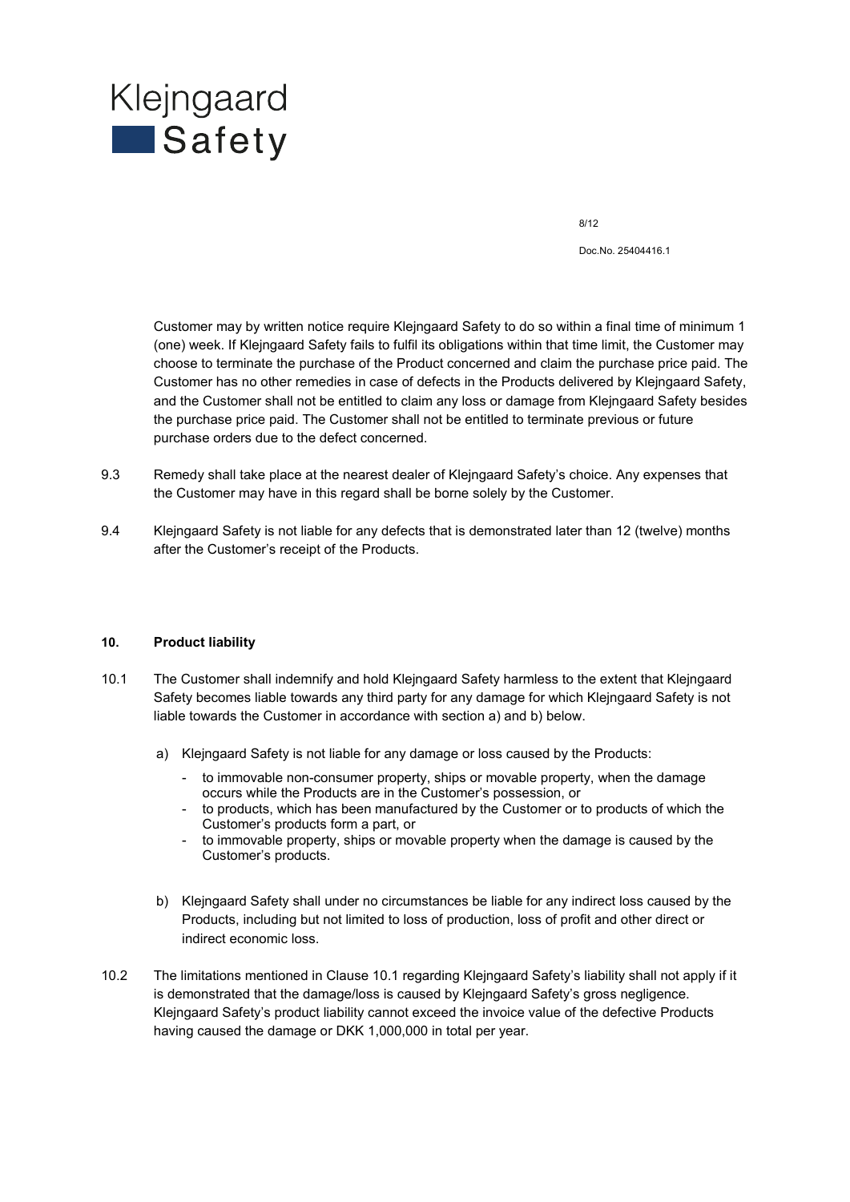## Klejngaard **Safety**

8/12

Doc.No. 25404416.1

Customer may by written notice require Klejngaard Safety to do so within a final time of minimum 1 (one) week. If Klejngaard Safety fails to fulfil its obligations within that time limit, the Customer may choose to terminate the purchase of the Product concerned and claim the purchase price paid. The Customer has no other remedies in case of defects in the Products delivered by Klejngaard Safety, and the Customer shall not be entitled to claim any loss or damage from Klejngaard Safety besides the purchase price paid. The Customer shall not be entitled to terminate previous or future purchase orders due to the defect concerned.

- 9.3 Remedy shall take place at the nearest dealer of Klejngaard Safety's choice. Any expenses that the Customer may have in this regard shall be borne solely by the Customer.
- 9.4 Klejngaard Safety is not liable for any defects that is demonstrated later than 12 (twelve) months after the Customer's receipt of the Products.

#### **10. Product liability**

- 10.1 The Customer shall indemnify and hold Klejngaard Safety harmless to the extent that Klejngaard Safety becomes liable towards any third party for any damage for which Klejngaard Safety is not liable towards the Customer in accordance with section a) and b) below.
	- a) Klejngaard Safety is not liable for any damage or loss caused by the Products:
		- to immovable non-consumer property, ships or movable property, when the damage occurs while the Products are in the Customer's possession, or
		- to products, which has been manufactured by the Customer or to products of which the Customer's products form a part, or
		- to immovable property, ships or movable property when the damage is caused by the Customer's products.
	- b) Klejngaard Safety shall under no circumstances be liable for any indirect loss caused by the Products, including but not limited to loss of production, loss of profit and other direct or indirect economic loss.
- 10.2 The limitations mentioned in Clause 10.1 regarding Klejngaard Safety's liability shall not apply if it is demonstrated that the damage/loss is caused by Klejngaard Safety's gross negligence. Klejngaard Safety's product liability cannot exceed the invoice value of the defective Products having caused the damage or DKK 1,000,000 in total per year.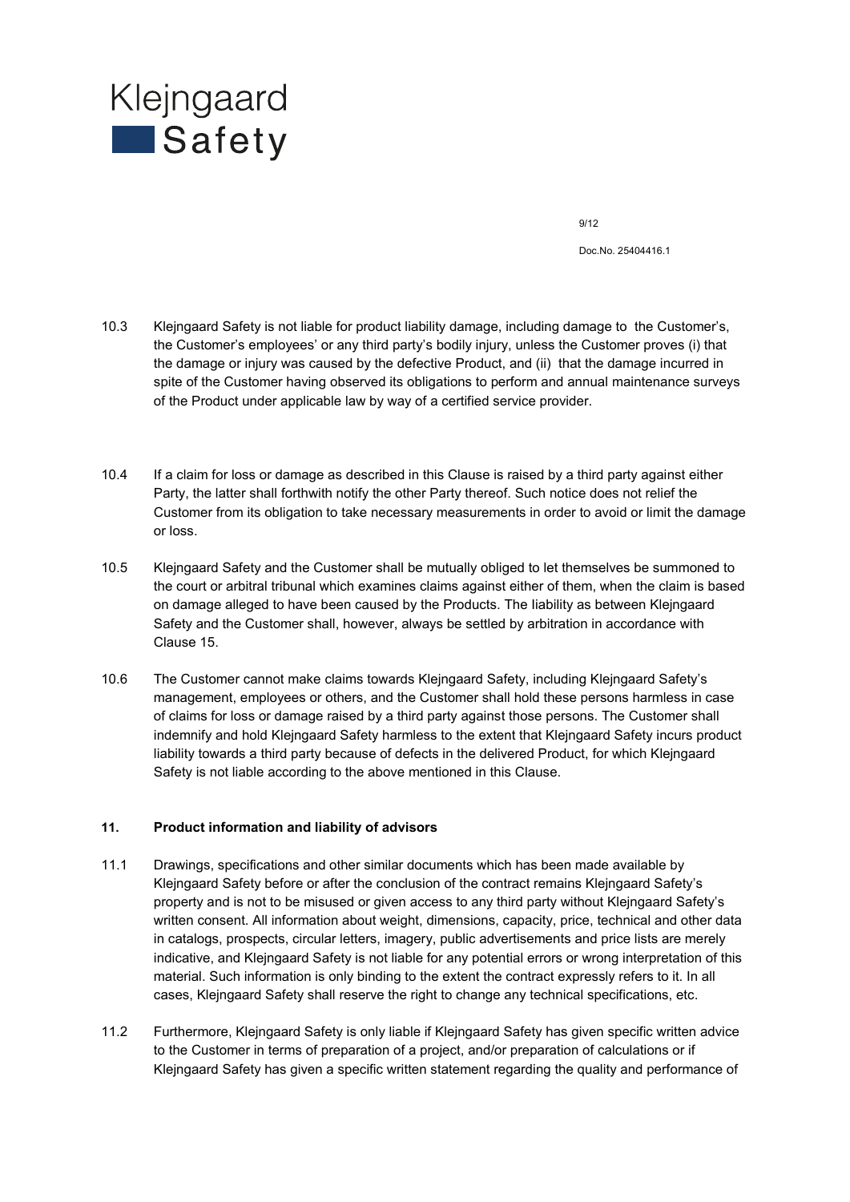

Doc.No. 25404416.1

- 10.3 Klejngaard Safety is not liable for product liability damage, including damage to the Customer's, the Customer's employees' or any third party's bodily injury, unless the Customer proves (i) that the damage or injury was caused by the defective Product, and (ii) that the damage incurred in spite of the Customer having observed its obligations to perform and annual maintenance surveys of the Product under applicable law by way of a certified service provider.
- 10.4 If a claim for loss or damage as described in this Clause is raised by a third party against either Party, the latter shall forthwith notify the other Party thereof. Such notice does not relief the Customer from its obligation to take necessary measurements in order to avoid or limit the damage or loss.
- 10.5 Klejngaard Safety and the Customer shall be mutually obliged to let themselves be summoned to the court or arbitral tribunal which examines claims against either of them, when the claim is based on damage alleged to have been caused by the Products. The Iiability as between Klejngaard Safety and the Customer shall, however, always be settled by arbitration in accordance with Clause 15.
- 10.6 The Customer cannot make claims towards Klejngaard Safety, including Klejngaard Safety's management, employees or others, and the Customer shall hold these persons harmless in case of claims for loss or damage raised by a third party against those persons. The Customer shall indemnify and hold Klejngaard Safety harmless to the extent that Klejngaard Safety incurs product liability towards a third party because of defects in the delivered Product, for which Klejngaard Safety is not liable according to the above mentioned in this Clause.

#### **11. Product information and liability of advisors**

- 11.1 Drawings, specifications and other similar documents which has been made available by Klejngaard Safety before or after the conclusion of the contract remains Klejngaard Safety's property and is not to be misused or given access to any third party without Klejngaard Safety's written consent. All information about weight, dimensions, capacity, price, technical and other data in catalogs, prospects, circular letters, imagery, public advertisements and price lists are merely indicative, and Klejngaard Safety is not liable for any potential errors or wrong interpretation of this material. Such information is only binding to the extent the contract expressly refers to it. In all cases, Klejngaard Safety shall reserve the right to change any technical specifications, etc.
- 11.2 Furthermore, Klejngaard Safety is only liable if Klejngaard Safety has given specific written advice to the Customer in terms of preparation of a project, and/or preparation of calculations or if Klejngaard Safety has given a specific written statement regarding the quality and performance of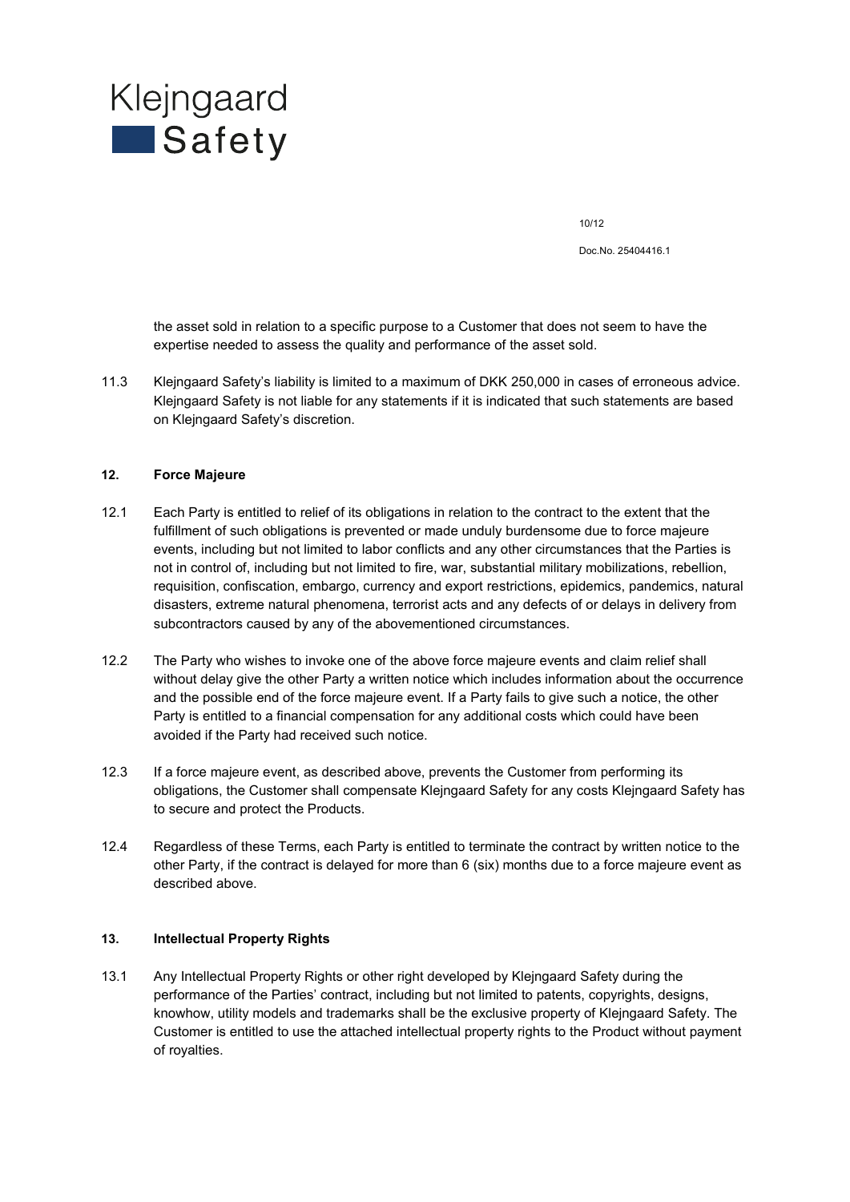

Doc.No. 25404416.1

the asset sold in relation to a specific purpose to a Customer that does not seem to have the expertise needed to assess the quality and performance of the asset sold.

11.3 Klejngaard Safety's liability is limited to a maximum of DKK 250,000 in cases of erroneous advice. Klejngaard Safety is not liable for any statements if it is indicated that such statements are based on Klejngaard Safety's discretion.

#### **12. Force Majeure**

- 12.1 Each Party is entitled to relief of its obligations in relation to the contract to the extent that the fulfillment of such obligations is prevented or made unduly burdensome due to force majeure events, including but not limited to labor conflicts and any other circumstances that the Parties is not in control of, including but not limited to fire, war, substantial military mobilizations, rebellion, requisition, confiscation, embargo, currency and export restrictions, epidemics, pandemics, natural disasters, extreme natural phenomena, terrorist acts and any defects of or delays in delivery from subcontractors caused by any of the abovementioned circumstances.
- 12.2 The Party who wishes to invoke one of the above force majeure events and claim relief shall without delay give the other Party a written notice which includes information about the occurrence and the possible end of the force majeure event. If a Party fails to give such a notice, the other Party is entitled to a financial compensation for any additional costs which could have been avoided if the Party had received such notice.
- 12.3 If a force majeure event, as described above, prevents the Customer from performing its obligations, the Customer shall compensate Klejngaard Safety for any costs Klejngaard Safety has to secure and protect the Products.
- 12.4 Regardless of these Terms, each Party is entitled to terminate the contract by written notice to the other Party, if the contract is delayed for more than 6 (six) months due to a force majeure event as described above.

#### **13. Intellectual Property Rights**

13.1 Any Intellectual Property Rights or other right developed by Klejngaard Safety during the performance of the Parties' contract, including but not limited to patents, copyrights, designs, knowhow, utility models and trademarks shall be the exclusive property of Klejngaard Safety. The Customer is entitled to use the attached intellectual property rights to the Product without payment of royalties.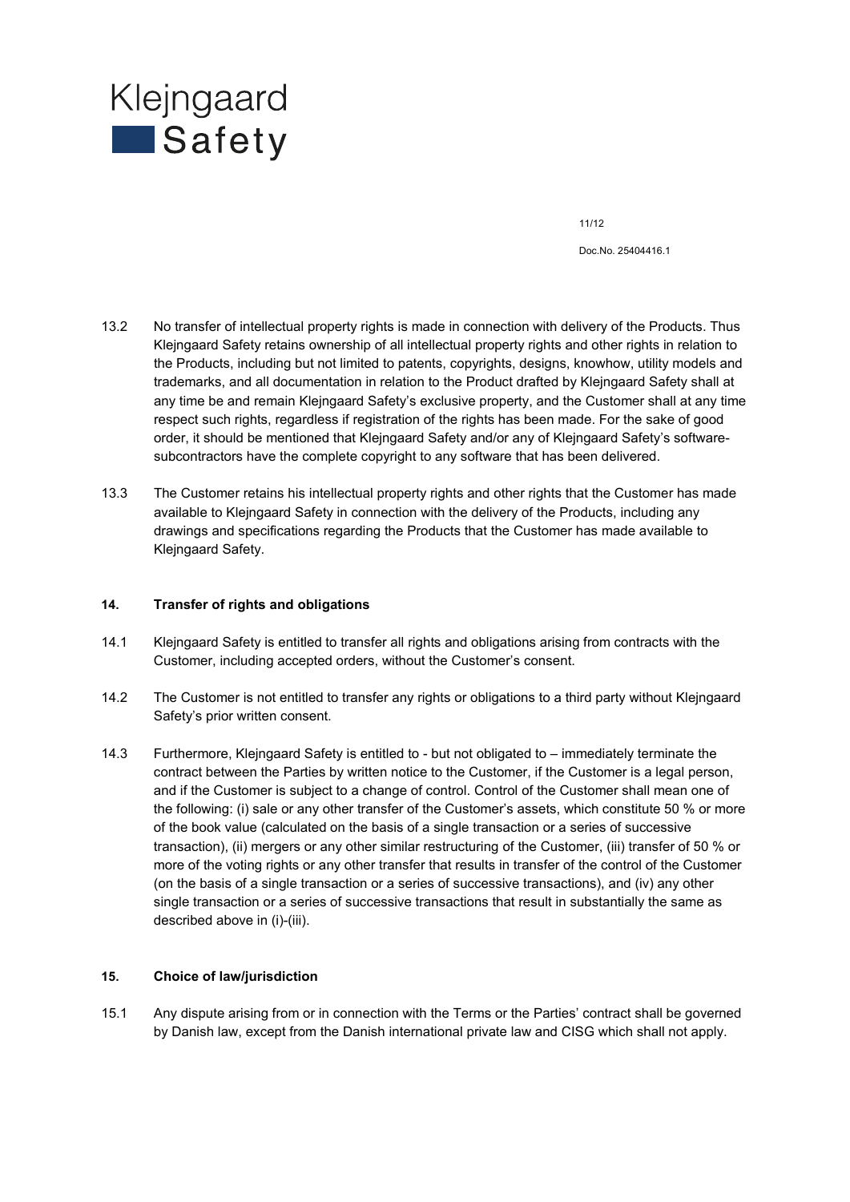

Doc.No. 25404416.1

- 13.2 No transfer of intellectual property rights is made in connection with delivery of the Products. Thus Klejngaard Safety retains ownership of all intellectual property rights and other rights in relation to the Products, including but not limited to patents, copyrights, designs, knowhow, utility models and trademarks, and all documentation in relation to the Product drafted by Klejngaard Safety shall at any time be and remain Klejngaard Safety's exclusive property, and the Customer shall at any time respect such rights, regardless if registration of the rights has been made. For the sake of good order, it should be mentioned that Klejngaard Safety and/or any of Klejngaard Safety's softwaresubcontractors have the complete copyright to any software that has been delivered.
- 13.3 The Customer retains his intellectual property rights and other rights that the Customer has made available to Klejngaard Safety in connection with the delivery of the Products, including any drawings and specifications regarding the Products that the Customer has made available to Klejngaard Safety.

#### **14. Transfer of rights and obligations**

- 14.1 Klejngaard Safety is entitled to transfer all rights and obligations arising from contracts with the Customer, including accepted orders, without the Customer's consent.
- 14.2 The Customer is not entitled to transfer any rights or obligations to a third party without Klejngaard Safety's prior written consent.
- 14.3 Furthermore, Klejngaard Safety is entitled to but not obligated to immediately terminate the contract between the Parties by written notice to the Customer, if the Customer is a legal person, and if the Customer is subject to a change of control. Control of the Customer shall mean one of the following: (i) sale or any other transfer of the Customer's assets, which constitute 50 % or more of the book value (calculated on the basis of a single transaction or a series of successive transaction), (ii) mergers or any other similar restructuring of the Customer, (iii) transfer of 50 % or more of the voting rights or any other transfer that results in transfer of the control of the Customer (on the basis of a single transaction or a series of successive transactions), and (iv) any other single transaction or a series of successive transactions that result in substantially the same as described above in (i)-(iii).

#### **15. Choice of law/jurisdiction**

15.1 Any dispute arising from or in connection with the Terms or the Parties' contract shall be governed by Danish law, except from the Danish international private law and CISG which shall not apply.